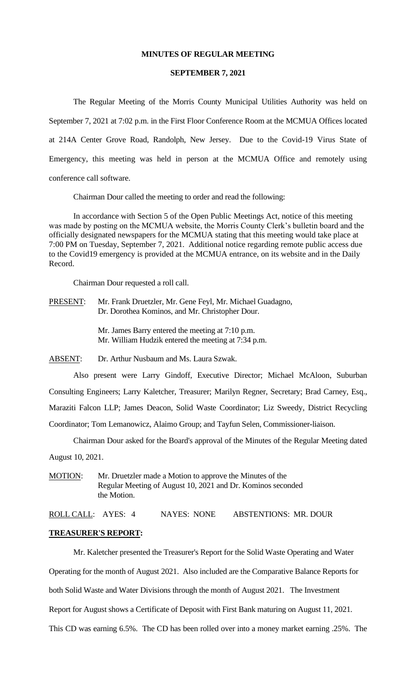### **MINUTES OF REGULAR MEETING**

#### **SEPTEMBER 7, 2021**

The Regular Meeting of the Morris County Municipal Utilities Authority was held on September 7, 2021 at 7:02 p.m. in the First Floor Conference Room at the MCMUA Offices located at 214A Center Grove Road, Randolph, New Jersey. Due to the Covid-19 Virus State of Emergency, this meeting was held in person at the MCMUA Office and remotely using conference call software.

Chairman Dour called the meeting to order and read the following:

In accordance with Section 5 of the Open Public Meetings Act, notice of this meeting was made by posting on the MCMUA website, the Morris County Clerk's bulletin board and the officially designated newspapers for the MCMUA stating that this meeting would take place at 7:00 PM on Tuesday, September 7, 2021. Additional notice regarding remote public access due to the Covid19 emergency is provided at the MCMUA entrance, on its website and in the Daily Record.

Chairman Dour requested a roll call.

PRESENT: Mr. Frank Druetzler, Mr. Gene Feyl, Mr. Michael Guadagno, Dr. Dorothea Kominos, and Mr. Christopher Dour.

> Mr. James Barry entered the meeting at 7:10 p.m. Mr. William Hudzik entered the meeting at 7:34 p.m.

ABSENT: Dr. Arthur Nusbaum and Ms. Laura Szwak.

Also present were Larry Gindoff, Executive Director; Michael McAloon, Suburban Consulting Engineers; Larry Kaletcher, Treasurer; Marilyn Regner, Secretary; Brad Carney, Esq., Maraziti Falcon LLP; James Deacon, Solid Waste Coordinator; Liz Sweedy, District Recycling Coordinator; Tom Lemanowicz, Alaimo Group; and Tayfun Selen, Commissioner-liaison.

Chairman Dour asked for the Board's approval of the Minutes of the Regular Meeting dated August 10, 2021.

MOTION: Mr. Druetzler made a Motion to approve the Minutes of the Regular Meeting of August 10, 2021 and Dr. Kominos seconded the Motion.

ROLL CALL: AYES: 4 NAYES: NONE ABSTENTIONS: MR. DOUR

#### **TREASURER'S REPORT:**

Mr. Kaletcher presented the Treasurer's Report for the Solid Waste Operating and Water

Operating for the month of August 2021. Also included are the Comparative Balance Reports for

both Solid Waste and Water Divisions through the month of August 2021. The Investment

Report for August shows a Certificate of Deposit with First Bank maturing on August 11, 2021.

This CD was earning 6.5%. The CD has been rolled over into a money market earning .25%. The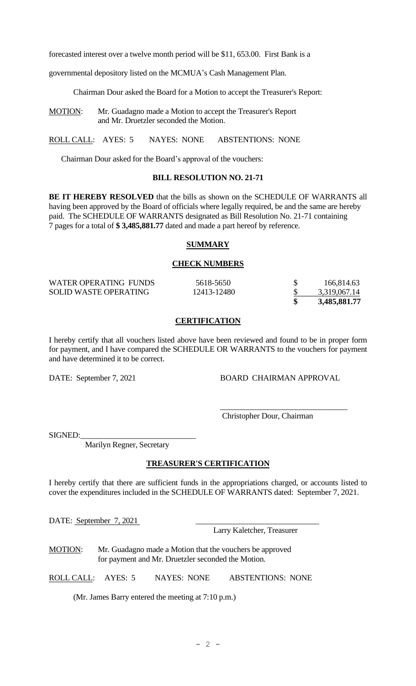forecasted interest over a twelve month period will be \$11, 653.00. First Bank is a

governmental depository listed on the MCMUA's Cash Management Plan.

Chairman Dour asked the Board for a Motion to accept the Treasurer's Report:

MOTION: Mr. Guadagno made a Motion to accept the Treasurer's Report and Mr. Druetzler seconded the Motion.

ROLL CALL: AYES: 5 NAYES: NONE ABSTENTIONS: NONE

Chairman Dour asked for the Board's approval of the vouchers:

## **BILL RESOLUTION NO. 21-71**

**BE IT HEREBY RESOLVED** that the bills as shown on the SCHEDULE OF WARRANTS all having been approved by the Board of officials where legally required, be and the same are hereby paid. The SCHEDULE OF WARRANTS designated as Bill Resolution No. 21-71 containing 7 pages for a total of **\$ 3,485,881.77** dated and made a part hereof by reference.

### **SUMMARY**

#### **CHECK NUMBERS**

| WATER OPERATING FUNDS        | 5618-5650   | 166,814.63   |
|------------------------------|-------------|--------------|
| <b>SOLID WASTE OPERATING</b> | 12413-12480 | 3,319,067.14 |
|                              |             | 3,485,881.77 |

## **CERTIFICATION**

I hereby certify that all vouchers listed above have been reviewed and found to be in proper form for payment, and I have compared the SCHEDULE OR WARRANTS to the vouchers for payment and have determined it to be correct.

DATE: September 7, 2021 BOARD CHAIRMAN APPROVAL

\_\_\_\_\_\_\_\_\_\_\_\_\_\_\_\_\_\_\_\_\_\_\_\_\_\_\_\_\_\_\_\_

Christopher Dour, Chairman

SIGNED:

Marilyn Regner, Secretary

### **TREASURER'S CERTIFICATION**

I hereby certify that there are sufficient funds in the appropriations charged, or accounts listed to cover the expenditures included in the SCHEDULE OF WARRANTS dated: September 7, 2021.

DATE: September 7, 2021

Larry Kaletcher, Treasurer

MOTION: Mr. Guadagno made a Motion that the vouchers be approved for payment and Mr. Druetzler seconded the Motion.

ROLL CALL: AYES: 5 NAYES: NONE ABSTENTIONS: NONE

(Mr. James Barry entered the meeting at 7:10 p.m.)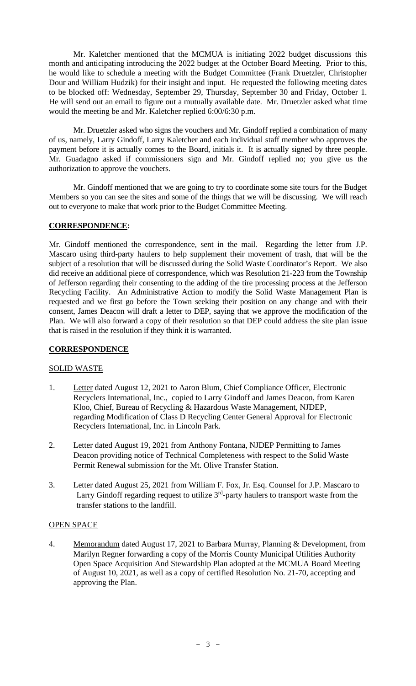Mr. Kaletcher mentioned that the MCMUA is initiating 2022 budget discussions this month and anticipating introducing the 2022 budget at the October Board Meeting. Prior to this, he would like to schedule a meeting with the Budget Committee (Frank Druetzler, Christopher Dour and William Hudzik) for their insight and input. He requested the following meeting dates to be blocked off: Wednesday, September 29, Thursday, September 30 and Friday, October 1. He will send out an email to figure out a mutually available date. Mr. Druetzler asked what time would the meeting be and Mr. Kaletcher replied 6:00/6:30 p.m.

Mr. Druetzler asked who signs the vouchers and Mr. Gindoff replied a combination of many of us, namely, Larry Gindoff, Larry Kaletcher and each individual staff member who approves the payment before it is actually comes to the Board, initials it. It is actually signed by three people. Mr. Guadagno asked if commissioners sign and Mr. Gindoff replied no; you give us the authorization to approve the vouchers.

Mr. Gindoff mentioned that we are going to try to coordinate some site tours for the Budget Members so you can see the sites and some of the things that we will be discussing. We will reach out to everyone to make that work prior to the Budget Committee Meeting.

# **CORRESPONDENCE:**

Mr. Gindoff mentioned the correspondence, sent in the mail. Regarding the letter from J.P. Mascaro using third-party haulers to help supplement their movement of trash, that will be the subject of a resolution that will be discussed during the Solid Waste Coordinator's Report. We also did receive an additional piece of correspondence, which was Resolution 21-223 from the Township of Jefferson regarding their consenting to the adding of the tire processing process at the Jefferson Recycling Facility. An Administrative Action to modify the Solid Waste Management Plan is requested and we first go before the Town seeking their position on any change and with their consent, James Deacon will draft a letter to DEP, saying that we approve the modification of the Plan. We will also forward a copy of their resolution so that DEP could address the site plan issue that is raised in the resolution if they think it is warranted.

## **CORRESPONDENCE**

## SOLID WASTE

- 1. Letter dated August 12, 2021 to Aaron Blum, Chief Compliance Officer, Electronic Recyclers International, Inc., copied to Larry Gindoff and James Deacon, from Karen Kloo, Chief, Bureau of Recycling & Hazardous Waste Management, NJDEP, regarding Modification of Class D Recycling Center General Approval for Electronic Recyclers International, Inc. in Lincoln Park.
- 2. Letter dated August 19, 2021 from Anthony Fontana, NJDEP Permitting to James Deacon providing notice of Technical Completeness with respect to the Solid Waste Permit Renewal submission for the Mt. Olive Transfer Station.
- 3. Letter dated August 25, 2021 from William F. Fox, Jr. Esq. Counsel for J.P. Mascaro to Larry Gindoff regarding request to utilize  $3<sup>rd</sup>$ -party haulers to transport waste from the transfer stations to the landfill.

## OPEN SPACE

4. Memorandum dated August 17, 2021 to Barbara Murray, Planning & Development, from Marilyn Regner forwarding a copy of the Morris County Municipal Utilities Authority Open Space Acquisition And Stewardship Plan adopted at the MCMUA Board Meeting of August 10, 2021, as well as a copy of certified Resolution No. 21-70, accepting and approving the Plan.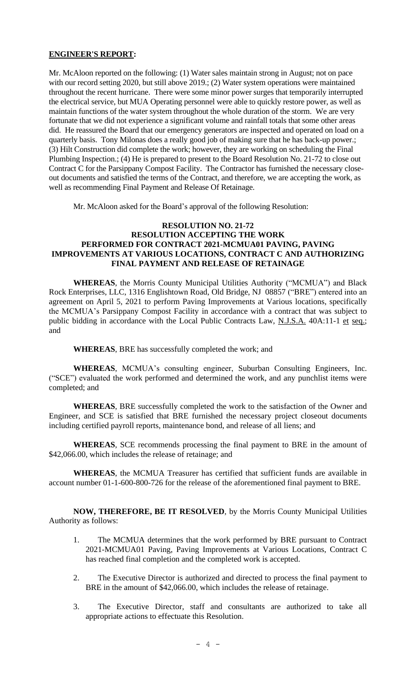# **ENGINEER'S REPORT:**

Mr. McAloon reported on the following: (1) Water sales maintain strong in August; not on pace with our record setting 2020, but still above 2019.; (2) Water system operations were maintained throughout the recent hurricane. There were some minor power surges that temporarily interrupted the electrical service, but MUA Operating personnel were able to quickly restore power, as well as maintain functions of the water system throughout the whole duration of the storm. We are very fortunate that we did not experience a significant volume and rainfall totals that some other areas did. He reassured the Board that our emergency generators are inspected and operated on load on a quarterly basis. Tony Milonas does a really good job of making sure that he has back-up power.; (3) Hilt Construction did complete the work; however, they are working on scheduling the Final Plumbing Inspection.; (4) He is prepared to present to the Board Resolution No. 21-72 to close out Contract C for the Parsippany Compost Facility. The Contractor has furnished the necessary closeout documents and satisfied the terms of the Contract, and therefore, we are accepting the work, as well as recommending Final Payment and Release Of Retainage.

Mr. McAloon asked for the Board's approval of the following Resolution:

# **RESOLUTION NO. 21-72 RESOLUTION ACCEPTING THE WORK PERFORMED FOR CONTRACT 2021-MCMUA01 PAVING, PAVING IMPROVEMENTS AT VARIOUS LOCATIONS, CONTRACT C AND AUTHORIZING FINAL PAYMENT AND RELEASE OF RETAINAGE**

**WHEREAS**, the Morris County Municipal Utilities Authority ("MCMUA") and Black Rock Enterprises, LLC, 1316 Englishtown Road, Old Bridge, NJ 08857 ("BRE") entered into an agreement on April 5, 2021 to perform Paving Improvements at Various locations, specifically the MCMUA's Parsippany Compost Facility in accordance with a contract that was subject to public bidding in accordance with the Local Public Contracts Law, N.J.S.A. 40A:11-1 et seq.; and

**WHEREAS**, BRE has successfully completed the work; and

**WHEREAS**, MCMUA's consulting engineer, Suburban Consulting Engineers, Inc. ("SCE") evaluated the work performed and determined the work, and any punchlist items were completed; and

**WHEREAS**, BRE successfully completed the work to the satisfaction of the Owner and Engineer, and SCE is satisfied that BRE furnished the necessary project closeout documents including certified payroll reports, maintenance bond, and release of all liens; and

**WHEREAS**, SCE recommends processing the final payment to BRE in the amount of \$42,066.00, which includes the release of retainage; and

**WHEREAS**, the MCMUA Treasurer has certified that sufficient funds are available in account number 01-1-600-800-726 for the release of the aforementioned final payment to BRE.

**NOW, THEREFORE, BE IT RESOLVED**, by the Morris County Municipal Utilities Authority as follows:

- 1. The MCMUA determines that the work performed by BRE pursuant to Contract 2021-MCMUA01 Paving, Paving Improvements at Various Locations, Contract C has reached final completion and the completed work is accepted.
- 2. The Executive Director is authorized and directed to process the final payment to BRE in the amount of \$42,066.00, which includes the release of retainage.
- 3. The Executive Director, staff and consultants are authorized to take all appropriate actions to effectuate this Resolution.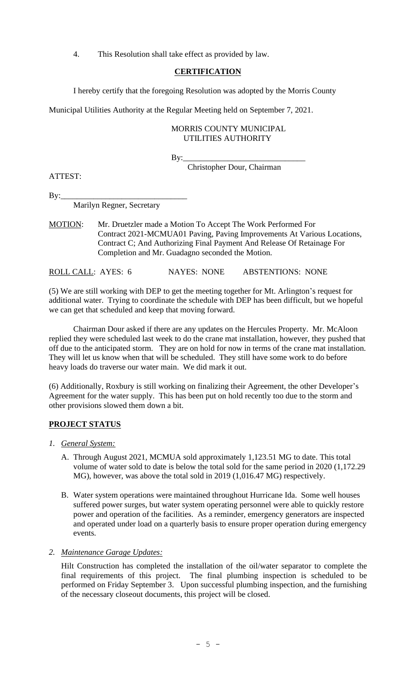4. This Resolution shall take effect as provided by law.

# **CERTIFICATION**

I hereby certify that the foregoing Resolution was adopted by the Morris County

Municipal Utilities Authority at the Regular Meeting held on September 7, 2021.

# MORRIS COUNTY MUNICIPAL UTILITIES AUTHORITY

By:\_\_\_\_\_\_\_\_\_\_\_\_\_\_\_\_\_\_\_\_\_\_\_\_\_\_\_\_\_\_

Christopher Dour, Chairman

ATTEST:

 $By:$ 

Marilyn Regner, Secretary

MOTION: Mr. Druetzler made a Motion To Accept The Work Performed For Contract 2021-MCMUA01 Paving, Paving Improvements At Various Locations, Contract C; And Authorizing Final Payment And Release Of Retainage For Completion and Mr. Guadagno seconded the Motion.

ROLL CALL: AYES: 6 NAYES: NONE ABSTENTIONS: NONE

(5) We are still working with DEP to get the meeting together for Mt. Arlington's request for additional water. Trying to coordinate the schedule with DEP has been difficult, but we hopeful we can get that scheduled and keep that moving forward.

Chairman Dour asked if there are any updates on the Hercules Property. Mr. McAloon replied they were scheduled last week to do the crane mat installation, however, they pushed that off due to the anticipated storm. They are on hold for now in terms of the crane mat installation. They will let us know when that will be scheduled. They still have some work to do before heavy loads do traverse our water main. We did mark it out.

(6) Additionally, Roxbury is still working on finalizing their Agreement, the other Developer's Agreement for the water supply. This has been put on hold recently too due to the storm and other provisions slowed them down a bit.

## **PROJECT STATUS**

- *1. General System:*
	- A. Through August 2021, MCMUA sold approximately 1,123.51 MG to date. This total volume of water sold to date is below the total sold for the same period in 2020 (1,172.29 MG), however, was above the total sold in 2019 (1,016.47 MG) respectively.
	- B. Water system operations were maintained throughout Hurricane Ida. Some well houses suffered power surges, but water system operating personnel were able to quickly restore power and operation of the facilities. As a reminder, emergency generators are inspected and operated under load on a quarterly basis to ensure proper operation during emergency events.

*2. Maintenance Garage Updates:*

Hilt Construction has completed the installation of the oil/water separator to complete the final requirements of this project. The final plumbing inspection is scheduled to be performed on Friday September 3. Upon successful plumbing inspection, and the furnishing of the necessary closeout documents, this project will be closed.

 $- 5 -$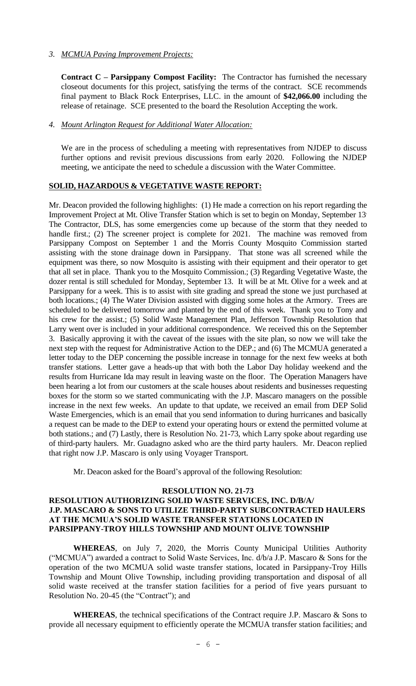# *3. MCMUA Paving Improvement Projects:*

**Contract C – Parsippany Compost Facility:** The Contractor has furnished the necessary closeout documents for this project, satisfying the terms of the contract. SCE recommends final payment to Black Rock Enterprises, LLC. in the amount of **\$42,066.00** including the release of retainage. SCE presented to the board the Resolution Accepting the work.

### *4. Mount Arlington Request for Additional Water Allocation:*

We are in the process of scheduling a meeting with representatives from NJDEP to discuss further options and revisit previous discussions from early 2020. Following the NJDEP meeting, we anticipate the need to schedule a discussion with the Water Committee.

### **SOLID, HAZARDOUS & VEGETATIVE WASTE REPORT:**

Mr. Deacon provided the following highlights: (1) He made a correction on his report regarding the Improvement Project at Mt. Olive Transfer Station which is set to begin on Monday, September 13. The Contractor, DLS, has some emergencies come up because of the storm that they needed to handle first.; (2) The screener project is complete for 2021. The machine was removed from Parsippany Compost on September 1 and the Morris County Mosquito Commission started assisting with the stone drainage down in Parsippany. That stone was all screened while the equipment was there, so now Mosquito is assisting with their equipment and their operator to get that all set in place. Thank you to the Mosquito Commission.; (3) Regarding Vegetative Waste, the dozer rental is still scheduled for Monday, September 13. It will be at Mt. Olive for a week and at Parsippany for a week. This is to assist with site grading and spread the stone we just purchased at both locations.; (4) The Water Division assisted with digging some holes at the Armory. Trees are scheduled to be delivered tomorrow and planted by the end of this week. Thank you to Tony and his crew for the assist.; (5) Solid Waste Management Plan, Jefferson Township Resolution that Larry went over is included in your additional correspondence. We received this on the September 3. Basically approving it with the caveat of the issues with the site plan, so now we will take the next step with the request for Administrative Action to the DEP.; and (6) The MCMUA generated a letter today to the DEP concerning the possible increase in tonnage for the next few weeks at both transfer stations. Letter gave a heads-up that with both the Labor Day holiday weekend and the results from Hurricane Ida may result in leaving waste on the floor. The Operation Managers have been hearing a lot from our customers at the scale houses about residents and businesses requesting boxes for the storm so we started communicating with the J.P. Mascaro managers on the possible increase in the next few weeks. An update to that update, we received an email from DEP Solid Waste Emergencies, which is an email that you send information to during hurricanes and basically a request can be made to the DEP to extend your operating hours or extend the permitted volume at both stations.; and (7) Lastly, there is Resolution No. 21-73, which Larry spoke about regarding use of third-party haulers. Mr. Guadagno asked who are the third party haulers. Mr. Deacon replied that right now J.P. Mascaro is only using Voyager Transport.

Mr. Deacon asked for the Board's approval of the following Resolution:

## **RESOLUTION NO. 21-73**

### **RESOLUTION AUTHORIZING SOLID WASTE SERVICES, INC. D/B/A/ J.P. MASCARO & SONS TO UTILIZE THIRD-PARTY SUBCONTRACTED HAULERS AT THE MCMUA'S SOLID WASTE TRANSFER STATIONS LOCATED IN PARSIPPANY-TROY HILLS TOWNSHIP AND MOUNT OLIVE TOWNSHIP**

**WHEREAS**, on July 7, 2020, the Morris County Municipal Utilities Authority ("MCMUA") awarded a contract to Solid Waste Services, Inc. d/b/a J.P. Mascaro & Sons for the operation of the two MCMUA solid waste transfer stations, located in Parsippany-Troy Hills Township and Mount Olive Township, including providing transportation and disposal of all solid waste received at the transfer station facilities for a period of five years pursuant to Resolution No. 20-45 (the "Contract"); and

**WHEREAS**, the technical specifications of the Contract require J.P. Mascaro & Sons to provide all necessary equipment to efficiently operate the MCMUA transfer station facilities; and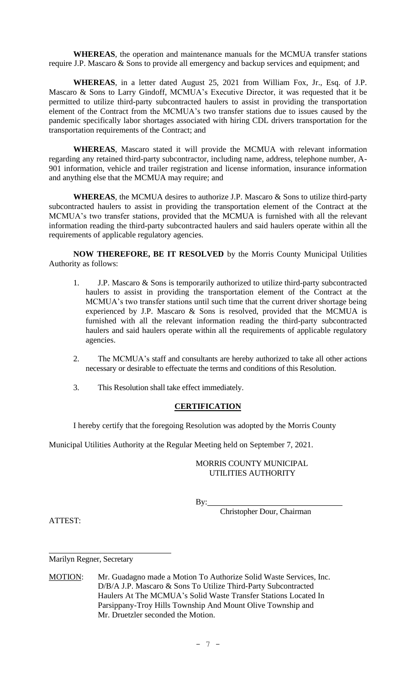**WHEREAS**, the operation and maintenance manuals for the MCMUA transfer stations require J.P. Mascaro & Sons to provide all emergency and backup services and equipment; and

**WHEREAS**, in a letter dated August 25, 2021 from William Fox, Jr., Esq. of J.P. Mascaro & Sons to Larry Gindoff, MCMUA's Executive Director, it was requested that it be permitted to utilize third-party subcontracted haulers to assist in providing the transportation element of the Contract from the MCMUA's two transfer stations due to issues caused by the pandemic specifically labor shortages associated with hiring CDL drivers transportation for the transportation requirements of the Contract; and

**WHEREAS**, Mascaro stated it will provide the MCMUA with relevant information regarding any retained third-party subcontractor, including name, address, telephone number, A-901 information, vehicle and trailer registration and license information, insurance information and anything else that the MCMUA may require; and

**WHEREAS**, the MCMUA desires to authorize J.P. Mascaro & Sons to utilize third-party subcontracted haulers to assist in providing the transportation element of the Contract at the MCMUA's two transfer stations, provided that the MCMUA is furnished with all the relevant information reading the third-party subcontracted haulers and said haulers operate within all the requirements of applicable regulatory agencies.

**NOW THEREFORE, BE IT RESOLVED** by the Morris County Municipal Utilities Authority as follows:

- 1. J.P. Mascaro & Sons is temporarily authorized to utilize third-party subcontracted haulers to assist in providing the transportation element of the Contract at the MCMUA's two transfer stations until such time that the current driver shortage being experienced by J.P. Mascaro & Sons is resolved, provided that the MCMUA is furnished with all the relevant information reading the third-party subcontracted haulers and said haulers operate within all the requirements of applicable regulatory agencies.
- 2. The MCMUA's staff and consultants are hereby authorized to take all other actions necessary or desirable to effectuate the terms and conditions of this Resolution.
- 3. This Resolution shall take effect immediately.

# **CERTIFICATION**

I hereby certify that the foregoing Resolution was adopted by the Morris County

Municipal Utilities Authority at the Regular Meeting held on September 7, 2021.

# MORRIS COUNTY MUNICIPAL UTILITIES AUTHORITY

By:

Christopher Dour, Chairman

ATTEST:

Marilyn Regner, Secretary

MOTION: Mr. Guadagno made a Motion To Authorize Solid Waste Services, Inc. D/B/A J.P. Mascaro & Sons To Utilize Third-Party Subcontracted Haulers At The MCMUA's Solid Waste Transfer Stations Located In Parsippany-Troy Hills Township And Mount Olive Township and Mr. Druetzler seconded the Motion.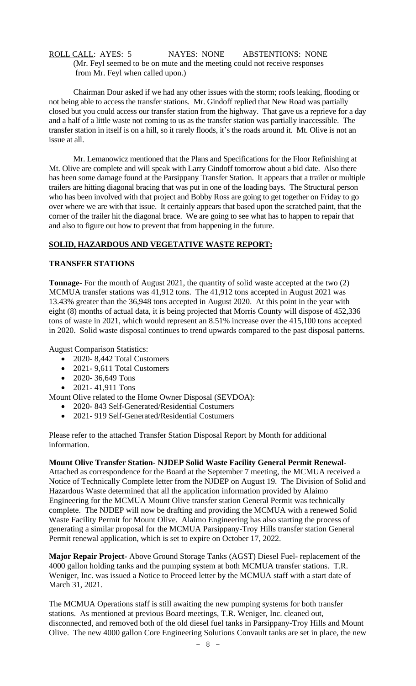# ROLL CALL: AYES: 5 NAYES: NONE ABSTENTIONS: NONE (Mr. Feyl seemed to be on mute and the meeting could not receive responses from Mr. Feyl when called upon.)

Chairman Dour asked if we had any other issues with the storm; roofs leaking, flooding or not being able to access the transfer stations. Mr. Gindoff replied that New Road was partially closed but you could access our transfer station from the highway. That gave us a reprieve for a day and a half of a little waste not coming to us as the transfer station was partially inaccessible. The transfer station in itself is on a hill, so it rarely floods, it's the roads around it. Mt. Olive is not an issue at all.

Mr. Lemanowicz mentioned that the Plans and Specifications for the Floor Refinishing at Mt. Olive are complete and will speak with Larry Gindoff tomorrow about a bid date. Also there has been some damage found at the Parsippany Transfer Station. It appears that a trailer or multiple trailers are hitting diagonal bracing that was put in one of the loading bays. The Structural person who has been involved with that project and Bobby Ross are going to get together on Friday to go over where we are with that issue. It certainly appears that based upon the scratched paint, that the corner of the trailer hit the diagonal brace. We are going to see what has to happen to repair that and also to figure out how to prevent that from happening in the future.

## **SOLID, HAZARDOUS AND VEGETATIVE WASTE REPORT:**

### **TRANSFER STATIONS**

**Tonnage-** For the month of August 2021, the quantity of solid waste accepted at the two (2) MCMUA transfer stations was 41,912 tons. The 41,912 tons accepted in August 2021 was 13.43% greater than the 36,948 tons accepted in August 2020. At this point in the year with eight (8) months of actual data, it is being projected that Morris County will dispose of 452,336 tons of waste in 2021, which would represent an 8.51% increase over the 415,100 tons accepted in 2020. Solid waste disposal continues to trend upwards compared to the past disposal patterns.

August Comparison Statistics:

- 2020- 8,442 Total Customers
- 2021- 9.611 Total Customers
- 2020-36,649 Tons
- 2021-41,911 Tons

Mount Olive related to the Home Owner Disposal (SEVDOA):

- 2020- 843 Self-Generated/Residential Costumers
- 2021-919 Self-Generated/Residential Costumers

Please refer to the attached Transfer Station Disposal Report by Month for additional information.

#### **Mount Olive Transfer Station- NJDEP Solid Waste Facility General Permit Renewal**-

Attached as correspondence for the Board at the September 7 meeting, the MCMUA received a Notice of Technically Complete letter from the NJDEP on August 19. The Division of Solid and Hazardous Waste determined that all the application information provided by Alaimo Engineering for the MCMUA Mount Olive transfer station General Permit was technically complete. The NJDEP will now be drafting and providing the MCMUA with a renewed Solid Waste Facility Permit for Mount Olive. Alaimo Engineering has also starting the process of generating a similar proposal for the MCMUA Parsippany-Troy Hills transfer station General Permit renewal application, which is set to expire on October 17, 2022.

**Major Repair Project-** Above Ground Storage Tanks (AGST) Diesel Fuel- replacement of the 4000 gallon holding tanks and the pumping system at both MCMUA transfer stations. T.R. Weniger, Inc. was issued a Notice to Proceed letter by the MCMUA staff with a start date of March 31, 2021.

The MCMUA Operations staff is still awaiting the new pumping systems for both transfer stations. As mentioned at previous Board meetings, T.R. Weniger, Inc. cleaned out, disconnected, and removed both of the old diesel fuel tanks in Parsippany-Troy Hills and Mount Olive. The new 4000 gallon Core Engineering Solutions Convault tanks are set in place, the new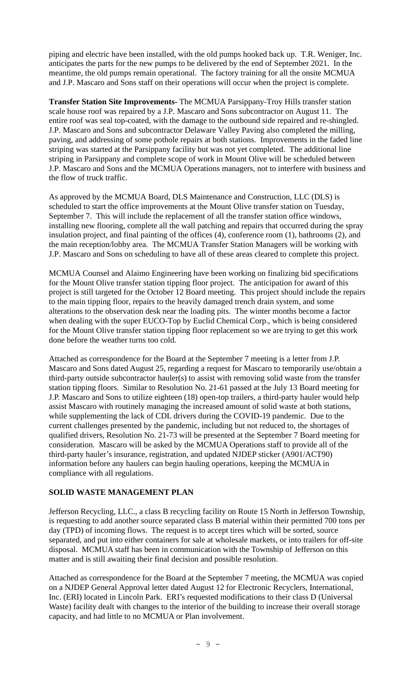piping and electric have been installed, with the old pumps hooked back up. T.R. Weniger, Inc. anticipates the parts for the new pumps to be delivered by the end of September 2021. In the meantime, the old pumps remain operational. The factory training for all the onsite MCMUA and J.P. Mascaro and Sons staff on their operations will occur when the project is complete.

**Transfer Station Site Improvements-** The MCMUA Parsippany-Troy Hills transfer station scale house roof was repaired by a J.P. Mascaro and Sons subcontractor on August 11. The entire roof was seal top-coated, with the damage to the outbound side repaired and re-shingled. J.P. Mascaro and Sons and subcontractor Delaware Valley Paving also completed the milling, paving, and addressing of some pothole repairs at both stations. Improvements in the faded line striping was started at the Parsippany facility but was not yet completed. The additional line striping in Parsippany and complete scope of work in Mount Olive will be scheduled between J.P. Mascaro and Sons and the MCMUA Operations managers, not to interfere with business and the flow of truck traffic.

As approved by the MCMUA Board, DLS Maintenance and Construction, LLC (DLS) is scheduled to start the office improvements at the Mount Olive transfer station on Tuesday, September 7. This will include the replacement of all the transfer station office windows, installing new flooring, complete all the wall patching and repairs that occurred during the spray insulation project, and final painting of the offices (4), conference room (1), bathrooms (2), and the main reception/lobby area. The MCMUA Transfer Station Managers will be working with J.P. Mascaro and Sons on scheduling to have all of these areas cleared to complete this project.

MCMUA Counsel and Alaimo Engineering have been working on finalizing bid specifications for the Mount Olive transfer station tipping floor project. The anticipation for award of this project is still targeted for the October 12 Board meeting. This project should include the repairs to the main tipping floor, repairs to the heavily damaged trench drain system, and some alterations to the observation desk near the loading pits. The winter months become a factor when dealing with the super EUCO-Top by Euclid Chemical Corp., which is being considered for the Mount Olive transfer station tipping floor replacement so we are trying to get this work done before the weather turns too cold.

Attached as correspondence for the Board at the September 7 meeting is a letter from J.P. Mascaro and Sons dated August 25, regarding a request for Mascaro to temporarily use/obtain a third-party outside subcontractor hauler(s) to assist with removing solid waste from the transfer station tipping floors. Similar to Resolution No. 21-61 passed at the July 13 Board meeting for J.P. Mascaro and Sons to utilize eighteen (18) open-top trailers, a third-party hauler would help assist Mascaro with routinely managing the increased amount of solid waste at both stations, while supplementing the lack of CDL drivers during the COVID-19 pandemic. Due to the current challenges presented by the pandemic, including but not reduced to, the shortages of qualified drivers, Resolution No. 21-73 will be presented at the September 7 Board meeting for consideration. Mascaro will be asked by the MCMUA Operations staff to provide all of the third-party hauler's insurance, registration, and updated NJDEP sticker (A901/ACT90) information before any haulers can begin hauling operations, keeping the MCMUA in compliance with all regulations.

## **SOLID WASTE MANAGEMENT PLAN**

Jefferson Recycling, LLC., a class B recycling facility on Route 15 North in Jefferson Township, is requesting to add another source separated class B material within their permitted 700 tons per day (TPD) of incoming flows. The request is to accept tires which will be sorted, source separated, and put into either containers for sale at wholesale markets, or into trailers for off-site disposal. MCMUA staff has been in communication with the Township of Jefferson on this matter and is still awaiting their final decision and possible resolution.

Attached as correspondence for the Board at the September 7 meeting, the MCMUA was copied on a NJDEP General Approval letter dated August 12 for Electronic Recyclers, International, Inc. (ERI) located in Lincoln Park. ERI's requested modifications to their class D (Universal Waste) facility dealt with changes to the interior of the building to increase their overall storage capacity, and had little to no MCMUA or Plan involvement.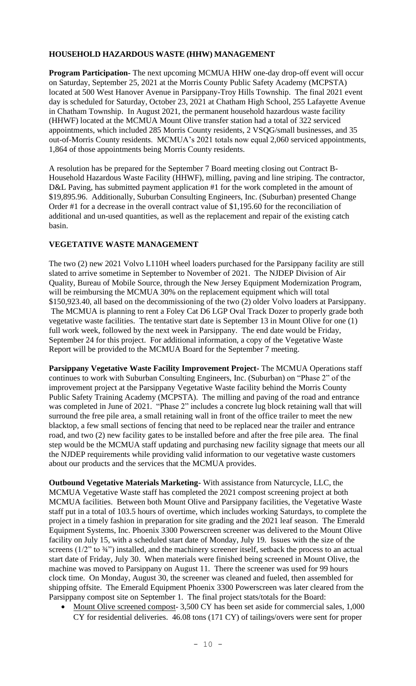# **HOUSEHOLD HAZARDOUS WASTE (HHW) MANAGEMENT**

**Program Participation-** The next upcoming MCMUA HHW one-day drop-off event will occur on Saturday, September 25, 2021 at the Morris County Public Safety Academy (MCPSTA) located at 500 West Hanover Avenue in Parsippany-Troy Hills Township. The final 2021 event day is scheduled for Saturday, October 23, 2021 at Chatham High School, 255 Lafayette Avenue in Chatham Township. In August 2021, the permanent household hazardous waste facility (HHWF) located at the MCMUA Mount Olive transfer station had a total of 322 serviced appointments, which included 285 Morris County residents, 2 VSQG/small businesses, and 35 out-of-Morris County residents. MCMUA's 2021 totals now equal 2,060 serviced appointments, 1,864 of those appointments being Morris County residents.

A resolution has be prepared for the September 7 Board meeting closing out Contract B-Household Hazardous Waste Facility (HHWF), milling, paving and line striping. The contractor, D&L Paving, has submitted payment application #1 for the work completed in the amount of \$19,895.96. Additionally, Suburban Consulting Engineers, Inc. (Suburban) presented Change Order #1 for a decrease in the overall contract value of \$1,195.60 for the reconciliation of additional and un-used quantities, as well as the replacement and repair of the existing catch basin.

# **VEGETATIVE WASTE MANAGEMENT**

The two (2) new 2021 Volvo L110H wheel loaders purchased for the Parsippany facility are still slated to arrive sometime in September to November of 2021. The NJDEP Division of Air Quality, Bureau of Mobile Source, through the New Jersey Equipment Modernization Program, will be reimbursing the MCMUA 30% on the replacement equipment which will total \$150,923.40, all based on the decommissioning of the two (2) older Volvo loaders at Parsippany. The MCMUA is planning to rent a Foley Cat D6 LGP Oval Track Dozer to properly grade both vegetative waste facilities. The tentative start date is September 13 in Mount Olive for one (1) full work week, followed by the next week in Parsippany. The end date would be Friday, September 24 for this project. For additional information, a copy of the Vegetative Waste Report will be provided to the MCMUA Board for the September 7 meeting.

**Parsippany Vegetative Waste Facility Improvement Project-** The MCMUA Operations staff continues to work with Suburban Consulting Engineers, Inc. (Suburban) on "Phase 2" of the improvement project at the Parsippany Vegetative Waste facility behind the Morris County Public Safety Training Academy (MCPSTA). The milling and paving of the road and entrance was completed in June of 2021. "Phase 2" includes a concrete lug block retaining wall that will surround the free pile area, a small retaining wall in front of the office trailer to meet the new blacktop, a few small sections of fencing that need to be replaced near the trailer and entrance road, and two (2) new facility gates to be installed before and after the free pile area. The final step would be the MCMUA staff updating and purchasing new facility signage that meets our all the NJDEP requirements while providing valid information to our vegetative waste customers about our products and the services that the MCMUA provides.

**Outbound Vegetative Materials Marketing-** With assistance from Naturcycle, LLC, the MCMUA Vegetative Waste staff has completed the 2021 compost screening project at both MCMUA facilities. Between both Mount Olive and Parsippany facilities, the Vegetative Waste staff put in a total of 103.5 hours of overtime, which includes working Saturdays, to complete the project in a timely fashion in preparation for site grading and the 2021 leaf season. The Emerald Equipment Systems, Inc. Phoenix 3300 Powerscreen screener was delivered to the Mount Olive facility on July 15, with a scheduled start date of Monday, July 19. Issues with the size of the screens (1/2" to 3/4") installed, and the machinery screener itself, setback the process to an actual start date of Friday, July 30. When materials were finished being screened in Mount Olive, the machine was moved to Parsippany on August 11. There the screener was used for 99 hours clock time. On Monday, August 30, the screener was cleaned and fueled, then assembled for shipping offsite. The Emerald Equipment Phoenix 3300 Powerscreen was later cleared from the Parsippany compost site on September 1. The final project stats/totals for the Board:

• Mount Olive screened compost- 3,500 CY has been set aside for commercial sales, 1,000 CY for residential deliveries. 46.08 tons (171 CY) of tailings/overs were sent for proper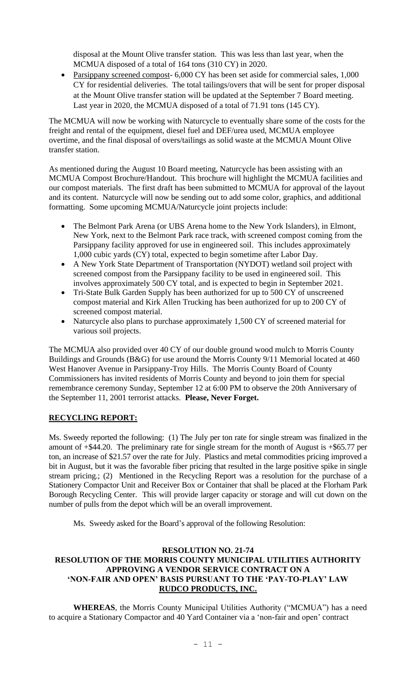disposal at the Mount Olive transfer station. This was less than last year, when the MCMUA disposed of a total of 164 tons (310 CY) in 2020.

• Parsippany screened compost- 6,000 CY has been set aside for commercial sales, 1,000 CY for residential deliveries. The total tailings/overs that will be sent for proper disposal at the Mount Olive transfer station will be updated at the September 7 Board meeting. Last year in 2020, the MCMUA disposed of a total of 71.91 tons (145 CY).

The MCMUA will now be working with Naturcycle to eventually share some of the costs for the freight and rental of the equipment, diesel fuel and DEF/urea used, MCMUA employee overtime, and the final disposal of overs/tailings as solid waste at the MCMUA Mount Olive transfer station.

As mentioned during the August 10 Board meeting, Naturcycle has been assisting with an MCMUA Compost Brochure/Handout. This brochure will highlight the MCMUA facilities and our compost materials. The first draft has been submitted to MCMUA for approval of the layout and its content. Naturcycle will now be sending out to add some color, graphics, and additional formatting. Some upcoming MCMUA/Naturcycle joint projects include:

- The Belmont Park Arena (or UBS Arena home to the New York Islanders), in Elmont, New York, next to the Belmont Park race track, with screened compost coming from the Parsippany facility approved for use in engineered soil. This includes approximately 1,000 cubic yards (CY) total, expected to begin sometime after Labor Day.
- A New York State Department of Transportation (NYDOT) wetland soil project with screened compost from the Parsippany facility to be used in engineered soil. This involves approximately 500 CY total, and is expected to begin in September 2021.
- Tri-State Bulk Garden Supply has been authorized for up to 500 CY of unscreened compost material and Kirk Allen Trucking has been authorized for up to 200 CY of screened compost material.
- Naturcycle also plans to purchase approximately 1,500 CY of screened material for various soil projects.

The MCMUA also provided over 40 CY of our double ground wood mulch to Morris County Buildings and Grounds (B&G) for use around the Morris County 9/11 Memorial located at 460 West Hanover Avenue in Parsippany-Troy Hills. The Morris County Board of County Commissioners has invited residents of Morris County and beyond to join them for special remembrance ceremony Sunday, September 12 at 6:00 PM to observe the 20th Anniversary of the September 11, 2001 terrorist attacks. **Please, Never Forget.**

# **RECYCLING REPORT:**

Ms. Sweedy reported the following: (1) The July per ton rate for single stream was finalized in the amount of +\$44.20. The preliminary rate for single stream for the month of August is +\$65.77 per ton, an increase of \$21.57 over the rate for July. Plastics and metal commodities pricing improved a bit in August, but it was the favorable fiber pricing that resulted in the large positive spike in single stream pricing.; (2) Mentioned in the Recycling Report was a resolution for the purchase of a Stationery Compactor Unit and Receiver Box or Container that shall be placed at the Florham Park Borough Recycling Center. This will provide larger capacity or storage and will cut down on the number of pulls from the depot which will be an overall improvement.

Ms. Sweedy asked for the Board's approval of the following Resolution:

# **RESOLUTION NO. 21-74 RESOLUTION OF THE MORRIS COUNTY MUNICIPAL UTILITIES AUTHORITY APPROVING A VENDOR SERVICE CONTRACT ON A 'NON-FAIR AND OPEN' BASIS PURSUANT TO THE 'PAY-TO-PLAY' LAW RUDCO PRODUCTS, INC.**

**WHEREAS**, the Morris County Municipal Utilities Authority ("MCMUA") has a need to acquire a Stationary Compactor and 40 Yard Container via a 'non-fair and open' contract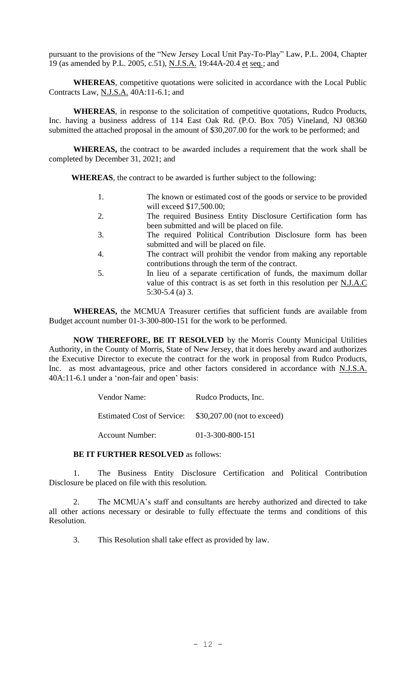pursuant to the provisions of the "New Jersey Local Unit Pay-To-Play" Law, P.L. 2004, Chapter 19 (as amended by P.L. 2005, c.51), N.J.S.A. 19:44A-20.4 et seq.; and

**WHEREAS**, competitive quotations were solicited in accordance with the Local Public Contracts Law, N.J.S.A. 40A:11-6.1; and

**WHEREAS**, in response to the solicitation of competitive quotations, Rudco Products, Inc. having a business address of 114 East Oak Rd. (P.O. Box 705) Vineland, NJ 08360 submitted the attached proposal in the amount of \$30,207.00 for the work to be performed; and

**WHEREAS,** the contract to be awarded includes a requirement that the work shall be completed by December 31, 2021; and

**WHEREAS**, the contract to be awarded is further subject to the following:

- 1. The known or estimated cost of the goods or service to be provided will exceed \$17,500.00;
- 2. The required Business Entity Disclosure Certification form has been submitted and will be placed on file.
- 3. The required Political Contribution Disclosure form has been submitted and will be placed on file.
- 4. The contract will prohibit the vendor from making any reportable contributions through the term of the contract.
- 5. In lieu of a separate certification of funds, the maximum dollar value of this contract is as set forth in this resolution per N.J.A.C 5:30-5.4 (a) 3.

**WHEREAS,** the MCMUA Treasurer certifies that sufficient funds are available from Budget account number 01-3-300-800-151 for the work to be performed.

**NOW THEREFORE, BE IT RESOLVED** by the Morris County Municipal Utilities Authority, in the County of Morris, State of New Jersey, that it does hereby award and authorizes the Executive Director to execute the contract for the work in proposal from Rudco Products, Inc. as most advantageous, price and other factors considered in accordance with N.J.S.A. 40A:11-6.1 under a 'non-fair and open' basis:

| Vendor Name:                      | Rudco Products, Inc.        |
|-----------------------------------|-----------------------------|
| <b>Estimated Cost of Service:</b> | \$30,207.00 (not to exceed) |
| Account Number:                   | 01-3-300-800-151            |

## **BE IT FURTHER RESOLVED** as follows:

1. The Business Entity Disclosure Certification and Political Contribution Disclosure be placed on file with this resolution.

2. The MCMUA's staff and consultants are hereby authorized and directed to take all other actions necessary or desirable to fully effectuate the terms and conditions of this Resolution.

3. This Resolution shall take effect as provided by law.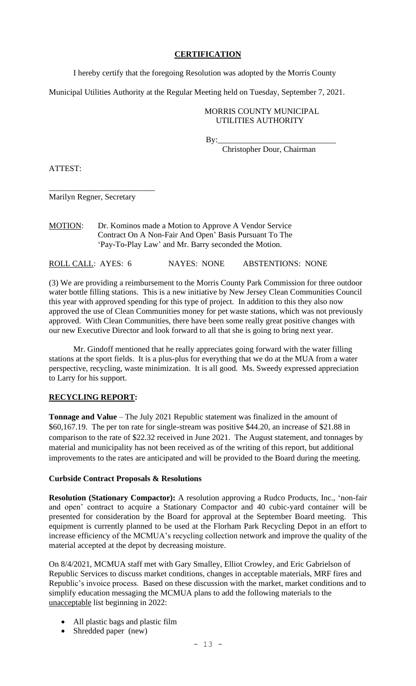# **CERTIFICATION**

I hereby certify that the foregoing Resolution was adopted by the Morris County

Municipal Utilities Authority at the Regular Meeting held on Tuesday, September 7, 2021.

# MORRIS COUNTY MUNICIPAL UTILITIES AUTHORITY

By:\_\_\_\_\_\_\_\_\_\_\_\_\_\_\_\_\_\_\_\_\_\_\_\_\_\_\_\_\_

Christopher Dour, Chairman

ATTEST:

\_\_\_\_\_\_\_\_\_\_\_\_\_\_\_\_\_\_\_\_\_\_\_\_\_\_ Marilyn Regner, Secretary

MOTION: Dr. Kominos made a Motion to Approve A Vendor Service Contract On A Non-Fair And Open' Basis Pursuant To The 'Pay-To-Play Law' and Mr. Barry seconded the Motion.

ROLL CALL: AYES: 6 NAYES: NONE ABSTENTIONS: NONE

(3) We are providing a reimbursement to the Morris County Park Commission for three outdoor water bottle filling stations. This is a new initiative by New Jersey Clean Communities Council this year with approved spending for this type of project. In addition to this they also now approved the use of Clean Communities money for pet waste stations, which was not previously approved. With Clean Communities, there have been some really great positive changes with our new Executive Director and look forward to all that she is going to bring next year.

Mr. Gindoff mentioned that he really appreciates going forward with the water filling stations at the sport fields. It is a plus-plus for everything that we do at the MUA from a water perspective, recycling, waste minimization. It is all good. Ms. Sweedy expressed appreciation to Larry for his support.

# **RECYCLING REPORT:**

**Tonnage and Value** – The July 2021 Republic statement was finalized in the amount of \$60,167.19. The per ton rate for single-stream was positive \$44.20, an increase of \$21.88 in comparison to the rate of \$22.32 received in June 2021. The August statement, and tonnages by material and municipality has not been received as of the writing of this report, but additional improvements to the rates are anticipated and will be provided to the Board during the meeting.

# **Curbside Contract Proposals & Resolutions**

**Resolution (Stationary Compactor):** A resolution approving a Rudco Products, Inc., 'non-fair and open' contract to acquire a Stationary Compactor and 40 cubic-yard container will be presented for consideration by the Board for approval at the September Board meeting. This equipment is currently planned to be used at the Florham Park Recycling Depot in an effort to increase efficiency of the MCMUA's recycling collection network and improve the quality of the material accepted at the depot by decreasing moisture.

On 8/4/2021, MCMUA staff met with Gary Smalley, Elliot Crowley, and Eric Gabrielson of Republic Services to discuss market conditions, changes in acceptable materials, MRF fires and Republic's invoice process. Based on these discussion with the market, market conditions and to simplify education messaging the MCMUA plans to add the following materials to the unacceptable list beginning in 2022:

- All plastic bags and plastic film
- Shredded paper (new)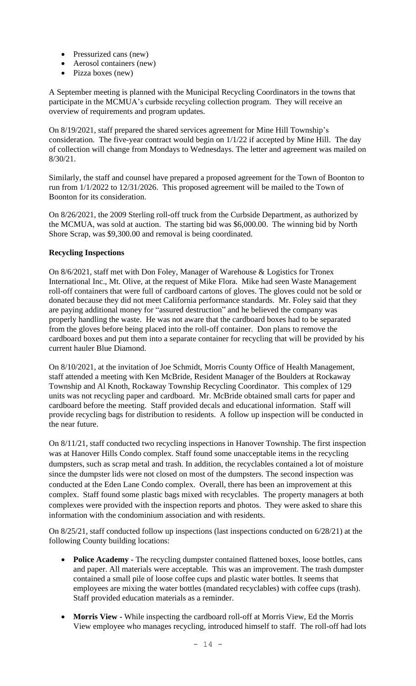- Pressurized cans (new)
- Aerosol containers (new)
- Pizza boxes (new)

A September meeting is planned with the Municipal Recycling Coordinators in the towns that participate in the MCMUA's curbside recycling collection program. They will receive an overview of requirements and program updates.

On 8/19/2021, staff prepared the shared services agreement for Mine Hill Township's consideration. The five-year contract would begin on 1/1/22 if accepted by Mine Hill. The day of collection will change from Mondays to Wednesdays. The letter and agreement was mailed on 8/30/21.

Similarly, the staff and counsel have prepared a proposed agreement for the Town of Boonton to run from 1/1/2022 to 12/31/2026. This proposed agreement will be mailed to the Town of Boonton for its consideration.

On 8/26/2021, the 2009 Sterling roll-off truck from the Curbside Department, as authorized by the MCMUA, was sold at auction. The starting bid was \$6,000.00. The winning bid by North Shore Scrap, was \$9,300.00 and removal is being coordinated.

# **Recycling Inspections**

On 8/6/2021, staff met with Don Foley, Manager of Warehouse & Logistics for Tronex International Inc., Mt. Olive, at the request of Mike Flora. Mike had seen Waste Management roll-off containers that were full of cardboard cartons of gloves. The gloves could not be sold or donated because they did not meet California performance standards. Mr. Foley said that they are paying additional money for "assured destruction" and he believed the company was properly handling the waste. He was not aware that the cardboard boxes had to be separated from the gloves before being placed into the roll-off container. Don plans to remove the cardboard boxes and put them into a separate container for recycling that will be provided by his current hauler Blue Diamond.

On 8/10/2021, at the invitation of Joe Schmidt, Morris County Office of Health Management, staff attended a meeting with Ken McBride, Resident Manager of the Boulders at Rockaway Township and Al Knoth, Rockaway Township Recycling Coordinator. This complex of 129 units was not recycling paper and cardboard. Mr. McBride obtained small carts for paper and cardboard before the meeting. Staff provided decals and educational information. Staff will provide recycling bags for distribution to residents. A follow up inspection will be conducted in the near future.

On 8/11/21, staff conducted two recycling inspections in Hanover Township. The first inspection was at Hanover Hills Condo complex. Staff found some unacceptable items in the recycling dumpsters, such as scrap metal and trash. In addition, the recyclables contained a lot of moisture since the dumpster lids were not closed on most of the dumpsters. The second inspection was conducted at the Eden Lane Condo complex. Overall, there has been an improvement at this complex. Staff found some plastic bags mixed with recyclables. The property managers at both complexes were provided with the inspection reports and photos. They were asked to share this information with the condominium association and with residents.

On 8/25/21, staff conducted follow up inspections (last inspections conducted on 6/28/21) at the following County building locations:

- **Police Academy -** The recycling dumpster contained flattened boxes, loose bottles, cans and paper. All materials were acceptable. This was an improvement. The trash dumpster contained a small pile of loose coffee cups and plastic water bottles. It seems that employees are mixing the water bottles (mandated recyclables) with coffee cups (trash). Staff provided education materials as a reminder.
- **Morris View -** While inspecting the cardboard roll-off at Morris View, Ed the Morris View employee who manages recycling, introduced himself to staff. The roll-off had lots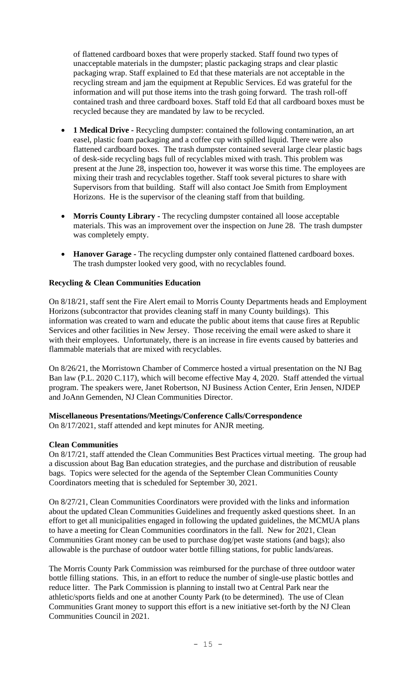of flattened cardboard boxes that were properly stacked. Staff found two types of unacceptable materials in the dumpster; plastic packaging straps and clear plastic packaging wrap. Staff explained to Ed that these materials are not acceptable in the recycling stream and jam the equipment at Republic Services. Ed was grateful for the information and will put those items into the trash going forward. The trash roll-off contained trash and three cardboard boxes. Staff told Ed that all cardboard boxes must be recycled because they are mandated by law to be recycled.

- **1 Medical Drive -** Recycling dumpster: contained the following contamination, an art easel, plastic foam packaging and a coffee cup with spilled liquid. There were also flattened cardboard boxes. The trash dumpster contained several large clear plastic bags of desk-side recycling bags full of recyclables mixed with trash. This problem was present at the June 28, inspection too, however it was worse this time. The employees are mixing their trash and recyclables together. Staff took several pictures to share with Supervisors from that building. Staff will also contact Joe Smith from Employment Horizons. He is the supervisor of the cleaning staff from that building.
- **Morris County Library -** The recycling dumpster contained all loose acceptable materials. This was an improvement over the inspection on June 28. The trash dumpster was completely empty.
- **Hanover Garage -** The recycling dumpster only contained flattened cardboard boxes. The trash dumpster looked very good, with no recyclables found.

# **Recycling & Clean Communities Education**

On 8/18/21, staff sent the Fire Alert email to Morris County Departments heads and Employment Horizons (subcontractor that provides cleaning staff in many County buildings). This information was created to warn and educate the public about items that cause fires at Republic Services and other facilities in New Jersey. Those receiving the email were asked to share it with their employees. Unfortunately, there is an increase in fire events caused by batteries and flammable materials that are mixed with recyclables.

On 8/26/21, the Morristown Chamber of Commerce hosted a virtual presentation on the NJ Bag Ban law (P.L. 2020 C.117), which will become effective May 4, 2020. Staff attended the virtual program. The speakers were, Janet Robertson, NJ Business Action Center, Erin Jensen, NJDEP and JoAnn Gemenden, NJ Clean Communities Director.

## **Miscellaneous Presentations/Meetings/Conference Calls/Correspondence**

On 8/17/2021, staff attended and kept minutes for ANJR meeting.

## **Clean Communities**

On 8/17/21, staff attended the Clean Communities Best Practices virtual meeting. The group had a discussion about Bag Ban education strategies, and the purchase and distribution of reusable bags. Topics were selected for the agenda of the September Clean Communities County Coordinators meeting that is scheduled for September 30, 2021.

On 8/27/21, Clean Communities Coordinators were provided with the links and information about the updated Clean Communities Guidelines and frequently asked questions sheet. In an effort to get all municipalities engaged in following the updated guidelines, the MCMUA plans to have a meeting for Clean Communities coordinators in the fall. New for 2021, Clean Communities Grant money can be used to purchase dog/pet waste stations (and bags); also allowable is the purchase of outdoor water bottle filling stations, for public lands/areas.

The Morris County Park Commission was reimbursed for the purchase of three outdoor water bottle filling stations. This, in an effort to reduce the number of single-use plastic bottles and reduce litter. The Park Commission is planning to install two at Central Park near the athletic/sports fields and one at another County Park (to be determined). The use of Clean Communities Grant money to support this effort is a new initiative set-forth by the NJ Clean Communities Council in 2021.